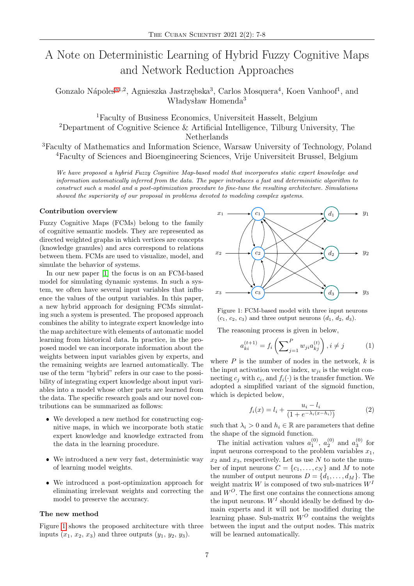# A Note on Deterministic Learning of Hybrid Fuzzy Cognitive Maps and Network Reduction Approaches

Gonzalo Nápoles<sup>[a1](#page-1-0),2</sup>, Agnieszka Jastrzębska<sup>3</sup>, Carlos Mosquera<sup>4</sup>, Koen Vanhoof<sup>1</sup>, and Władysław Homenda<sup>3</sup>

<sup>1</sup>Faculty of Business Economics, Universiteit Hasselt, Belgium <sup>2</sup>Department of Cognitive Science & Artificial Intelligence, Tilburg University, The Netherlands

<sup>3</sup>Faculty of Mathematics and Information Science, Warsaw University of Technology, Poland <sup>4</sup>Faculty of Sciences and Bioengineering Sciences, Vrije Universiteit Brussel, Belgium

*We have proposed a hybrid Fuzzy Cognitive Map-based model that incorporates static expert knowledge and information automatically inferred from the data. The paper introduces a fast and deterministic algorithm to construct such a model and a post-optimization procedure to fine-tune the resulting architecture. Simulations showed the superiority of our proposal in problems devoted to modeling complex systems.*

## **Contribution overview**

Fuzzy Cognitive Maps (FCMs) belong to the family of cognitive semantic models. They are represented as directed weighted graphs in which vertices are concepts (knowledge granules) and arcs correspond to relations between them. FCMs are used to visualize, model, and simulate the behavior of systems.

In our new paper [\[1\]](#page-1-1) the focus is on an FCM-based model for simulating dynamic systems. In such a system, we often have several input variables that influence the values of the output variables. In this paper, a new hybrid approach for designing FCMs simulating such a system is presented. The proposed approach combines the ability to integrate expert knowledge into the map architecture with elements of automatic model learning from historical data. In practice, in the proposed model we can incorporate information about the weights between input variables given by experts, and the remaining weights are learned automatically. The use of the term "hybrid" refers in our case to the possibility of integrating expert knowledge about input variables into a model whose other parts are learned from the data. The specific research goals and our novel contributions can be summarized as follows:

- We developed a new method for constructing cognitive maps, in which we incorporate both static expert knowledge and knowledge extracted from the data in the learning procedure.
- We introduced a new very fast, deterministic way of learning model weights.
- We introduced a post-optimization approach for eliminating irrelevant weights and correcting the model to preserve the accuracy.

#### **The new method**

Figure [1](#page-0-0) shows the proposed architecture with three inputs  $(x_1, x_2, x_3)$  and three outputs  $(y_1, y_2, y_3)$ .

<span id="page-0-0"></span>

Figure 1: FCM-based model with three input neurons  $(c_1, c_2, c_3)$  and three output neurons  $(d_1, d_2, d_3)$ .

The reasoning process is given in below,

$$
a_{ki}^{(t+1)} = f_i\left(\sum_{j=1}^P w_{ji} a_{kj}^{(t)}\right), i \neq j \tag{1}
$$

where *P* is the number of nodes in the network, *k* is the input activation vector index,  $w_{ii}$  is the weight connecting  $c_j$  with  $c_i$ , and  $f_i(\cdot)$  is the transfer function. We adopted a simplified variant of the sigmoid function, which is depicted below,

$$
f_i(x) = l_i + \frac{u_i - l_i}{(1 + e^{-\lambda_i (x - h_i)})}
$$
 (2)

such that  $\lambda_i > 0$  and  $h_i \in \mathbb{R}$  are parameters that define the shape of the sigmoid function.

The initial activation values  $a_1^{(0)}$ ,  $a_2^{(0)}$  and  $a_3^{(0)}$  for input neurons correspond to the problem variables  $x_1$ ,  $x_2$  and  $x_3$ , respectively. Let us use  $N$  to note the number of input neurons  $C = \{c_1, \ldots, c_N\}$  and M to note the number of output neurons  $D = \{d_1, \ldots, d_M\}$ . The weight matrix *W* is composed of two sub-matrices *W<sup>I</sup>* and *W<sup>O</sup>*. The first one contains the connections among the input neurons.  $W<sup>I</sup>$  should ideally be defined by domain experts and it will not be modified during the learning phase. Sub-matrix *W<sup>O</sup>* contains the weights between the input and the output nodes. This matrix will be learned automatically.